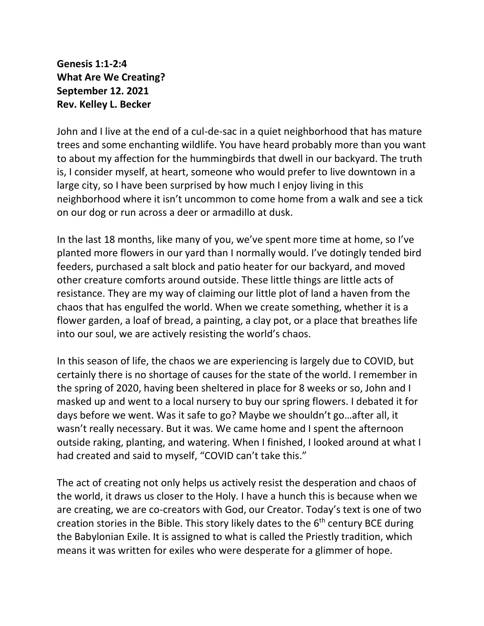**Genesis 1:1-2:4 What Are We Creating? September 12. 2021 Rev. Kelley L. Becker**

John and I live at the end of a cul-de-sac in a quiet neighborhood that has mature trees and some enchanting wildlife. You have heard probably more than you want to about my affection for the hummingbirds that dwell in our backyard. The truth is, I consider myself, at heart, someone who would prefer to live downtown in a large city, so I have been surprised by how much I enjoy living in this neighborhood where it isn't uncommon to come home from a walk and see a tick on our dog or run across a deer or armadillo at dusk.

In the last 18 months, like many of you, we've spent more time at home, so I've planted more flowers in our yard than I normally would. I've dotingly tended bird feeders, purchased a salt block and patio heater for our backyard, and moved other creature comforts around outside. These little things are little acts of resistance. They are my way of claiming our little plot of land a haven from the chaos that has engulfed the world. When we create something, whether it is a flower garden, a loaf of bread, a painting, a clay pot, or a place that breathes life into our soul, we are actively resisting the world's chaos.

In this season of life, the chaos we are experiencing is largely due to COVID, but certainly there is no shortage of causes for the state of the world. I remember in the spring of 2020, having been sheltered in place for 8 weeks or so, John and I masked up and went to a local nursery to buy our spring flowers. I debated it for days before we went. Was it safe to go? Maybe we shouldn't go…after all, it wasn't really necessary. But it was. We came home and I spent the afternoon outside raking, planting, and watering. When I finished, I looked around at what I had created and said to myself, "COVID can't take this."

The act of creating not only helps us actively resist the desperation and chaos of the world, it draws us closer to the Holy. I have a hunch this is because when we are creating, we are co-creators with God, our Creator. Today's text is one of two creation stories in the Bible. This story likely dates to the  $6<sup>th</sup>$  century BCE during the Babylonian Exile. It is assigned to what is called the Priestly tradition, which means it was written for exiles who were desperate for a glimmer of hope.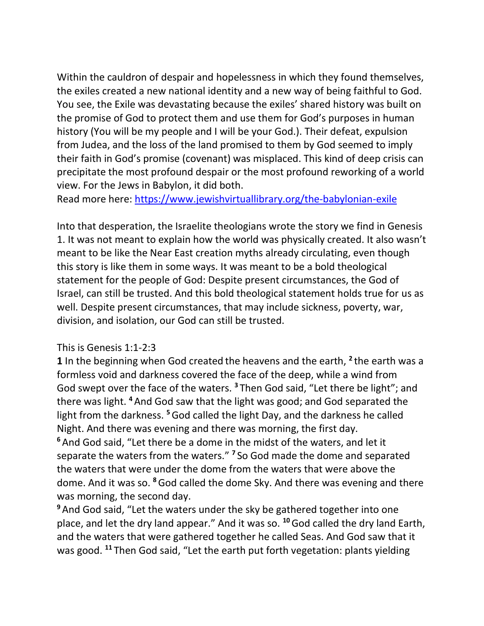Within the cauldron of despair and hopelessness in which they found themselves, the exiles created a new national identity and a new way of being faithful to God. You see, the Exile was devastating because the exiles' shared history was built on the promise of God to protect them and use them for God's purposes in human history (You will be my people and I will be your God.). Their defeat, expulsion from Judea, and the loss of the land promised to them by God seemed to imply their faith in God's promise (covenant) was misplaced. This kind of deep crisis can precipitate the most profound despair or the most profound reworking of a world view. For the Jews in Babylon, it did both.

Read more here:<https://www.jewishvirtuallibrary.org/the-babylonian-exile>

Into that desperation, the Israelite theologians wrote the story we find in Genesis 1. It was not meant to explain how the world was physically created. It also wasn't meant to be like the Near East creation myths already circulating, even though this story is like them in some ways. It was meant to be a bold theological statement for the people of God: Despite present circumstances, the God of Israel, can still be trusted. And this bold theological statement holds true for us as well. Despite present circumstances, that may include sickness, poverty, war, division, and isolation, our God can still be trusted.

## This is Genesis 1:1-2:3

**1** In the beginning when God created the heavens and the earth, **<sup>2</sup>** the earth was a formless void and darkness covered the face of the deep, while a wind from God swept over the face of the waters. **<sup>3</sup>** Then God said, "Let there be light"; and there was light. **<sup>4</sup>** And God saw that the light was good; and God separated the light from the darkness. **<sup>5</sup>**God called the light Day, and the darkness he called Night. And there was evening and there was morning, the first day. **<sup>6</sup>** And God said, "Let there be a dome in the midst of the waters, and let it separate the waters from the waters." **<sup>7</sup>** So God made the dome and separated the waters that were under the dome from the waters that were above the dome. And it was so. **<sup>8</sup>**God called the dome Sky. And there was evening and there was morning, the second day.

**<sup>9</sup>** And God said, "Let the waters under the sky be gathered together into one place, and let the dry land appear." And it was so. **<sup>10</sup>**God called the dry land Earth, and the waters that were gathered together he called Seas. And God saw that it was good. **<sup>11</sup>** Then God said, "Let the earth put forth vegetation: plants yielding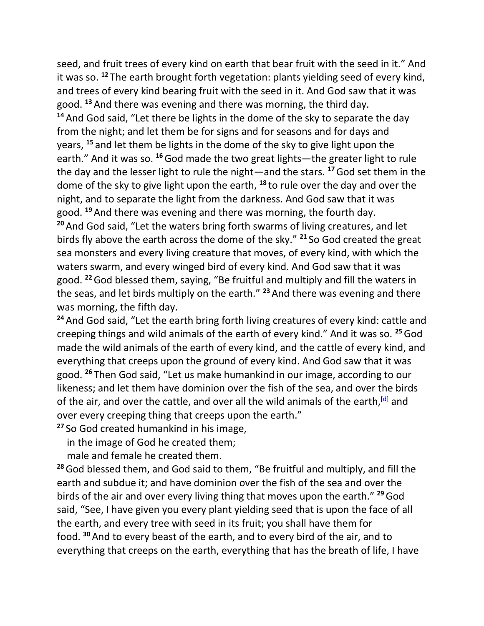seed, and fruit trees of every kind on earth that bear fruit with the seed in it." And it was so. **<sup>12</sup>** The earth brought forth vegetation: plants yielding seed of every kind, and trees of every kind bearing fruit with the seed in it. And God saw that it was good. **<sup>13</sup>** And there was evening and there was morning, the third day.

**<sup>14</sup>** And God said, "Let there be lights in the dome of the sky to separate the day from the night; and let them be for signs and for seasons and for days and years, **<sup>15</sup>** and let them be lights in the dome of the sky to give light upon the earth." And it was so. **<sup>16</sup>**God made the two great lights—the greater light to rule the day and the lesser light to rule the night—and the stars. **<sup>17</sup>**God set them in the dome of the sky to give light upon the earth, **<sup>18</sup>** to rule over the day and over the night, and to separate the light from the darkness. And God saw that it was good. **<sup>19</sup>** And there was evening and there was morning, the fourth day. **<sup>20</sup>** And God said, "Let the waters bring forth swarms of living creatures, and let birds fly above the earth across the dome of the sky." **<sup>21</sup>** So God created the great sea monsters and every living creature that moves, of every kind, with which the waters swarm, and every winged bird of every kind. And God saw that it was good. **<sup>22</sup>**God blessed them, saying, "Be fruitful and multiply and fill the waters in the seas, and let birds multiply on the earth." **<sup>23</sup>**And there was evening and there was morning, the fifth day.

**<sup>24</sup>** And God said, "Let the earth bring forth living creatures of every kind: cattle and creeping things and wild animals of the earth of every kind." And it was so. **<sup>25</sup>**God made the wild animals of the earth of every kind, and the cattle of every kind, and everything that creeps upon the ground of every kind. And God saw that it was good. **<sup>26</sup>** Then God said, "Let us make humankind in our image, according to our likeness; and let them have dominion over the fish of the sea, and over the birds of the air, and over the cattle, and over all the wild animals of the earth,  $\left[\frac{d}{2}\right]$  and over every creeping thing that creeps upon the earth."

**<sup>27</sup>** So God created humankind in his image, in the image of God he created them;

male and female he created them.

**<sup>28</sup>**God blessed them, and God said to them, "Be fruitful and multiply, and fill the earth and subdue it; and have dominion over the fish of the sea and over the birds of the air and over every living thing that moves upon the earth." **<sup>29</sup>**God said, "See, I have given you every plant yielding seed that is upon the face of all the earth, and every tree with seed in its fruit; you shall have them for food. **<sup>30</sup>** And to every beast of the earth, and to every bird of the air, and to everything that creeps on the earth, everything that has the breath of life, I have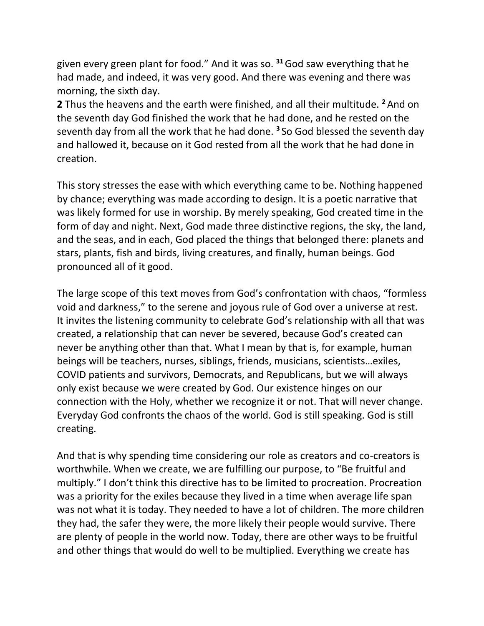given every green plant for food." And it was so. **<sup>31</sup>**God saw everything that he had made, and indeed, it was very good. And there was evening and there was morning, the sixth day.

**2** Thus the heavens and the earth were finished, and all their multitude. **<sup>2</sup>** And on the seventh day God finished the work that he had done, and he rested on the seventh day from all the work that he had done. **<sup>3</sup>** So God blessed the seventh day and hallowed it, because on it God rested from all the work that he had done in creation.

This story stresses the ease with which everything came to be. Nothing happened by chance; everything was made according to design. It is a poetic narrative that was likely formed for use in worship. By merely speaking, God created time in the form of day and night. Next, God made three distinctive regions, the sky, the land, and the seas, and in each, God placed the things that belonged there: planets and stars, plants, fish and birds, living creatures, and finally, human beings. God pronounced all of it good.

The large scope of this text moves from God's confrontation with chaos, "formless void and darkness," to the serene and joyous rule of God over a universe at rest. It invites the listening community to celebrate God's relationship with all that was created, a relationship that can never be severed, because God's created can never be anything other than that. What I mean by that is, for example, human beings will be teachers, nurses, siblings, friends, musicians, scientists…exiles, COVID patients and survivors, Democrats, and Republicans, but we will always only exist because we were created by God. Our existence hinges on our connection with the Holy, whether we recognize it or not. That will never change. Everyday God confronts the chaos of the world. God is still speaking. God is still creating.

And that is why spending time considering our role as creators and co-creators is worthwhile. When we create, we are fulfilling our purpose, to "Be fruitful and multiply." I don't think this directive has to be limited to procreation. Procreation was a priority for the exiles because they lived in a time when average life span was not what it is today. They needed to have a lot of children. The more children they had, the safer they were, the more likely their people would survive. There are plenty of people in the world now. Today, there are other ways to be fruitful and other things that would do well to be multiplied. Everything we create has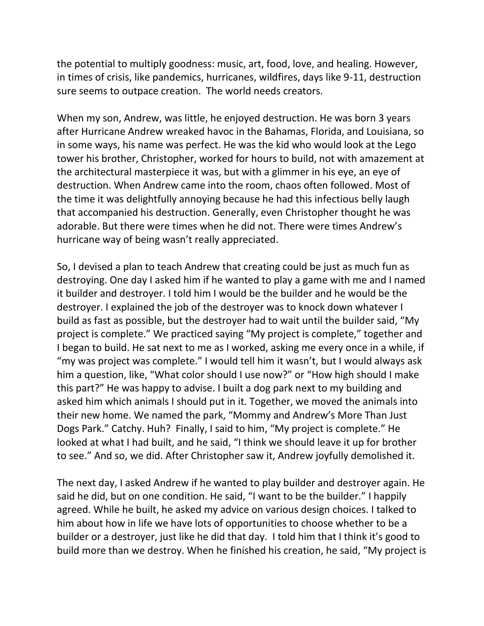the potential to multiply goodness: music, art, food, love, and healing. However, in times of crisis, like pandemics, hurricanes, wildfires, days like 9-11, destruction sure seems to outpace creation. The world needs creators.

When my son, Andrew, was little, he enjoyed destruction. He was born 3 years after Hurricane Andrew wreaked havoc in the Bahamas, Florida, and Louisiana, so in some ways, his name was perfect. He was the kid who would look at the Lego tower his brother, Christopher, worked for hours to build, not with amazement at the architectural masterpiece it was, but with a glimmer in his eye, an eye of destruction. When Andrew came into the room, chaos often followed. Most of the time it was delightfully annoying because he had this infectious belly laugh that accompanied his destruction. Generally, even Christopher thought he was adorable. But there were times when he did not. There were times Andrew's hurricane way of being wasn't really appreciated.

So, I devised a plan to teach Andrew that creating could be just as much fun as destroying. One day I asked him if he wanted to play a game with me and I named it builder and destroyer. I told him I would be the builder and he would be the destroyer. I explained the job of the destroyer was to knock down whatever I build as fast as possible, but the destroyer had to wait until the builder said, "My project is complete." We practiced saying "My project is complete," together and I began to build. He sat next to me as I worked, asking me every once in a while, if "my was project was complete." I would tell him it wasn't, but I would always ask him a question, like, "What color should I use now?" or "How high should I make this part?" He was happy to advise. I built a dog park next to my building and asked him which animals I should put in it. Together, we moved the animals into their new home. We named the park, "Mommy and Andrew's More Than Just Dogs Park." Catchy. Huh? Finally, I said to him, "My project is complete." He looked at what I had built, and he said, "I think we should leave it up for brother to see." And so, we did. After Christopher saw it, Andrew joyfully demolished it.

The next day, I asked Andrew if he wanted to play builder and destroyer again. He said he did, but on one condition. He said, "I want to be the builder." I happily agreed. While he built, he asked my advice on various design choices. I talked to him about how in life we have lots of opportunities to choose whether to be a builder or a destroyer, just like he did that day. I told him that I think it's good to build more than we destroy. When he finished his creation, he said, "My project is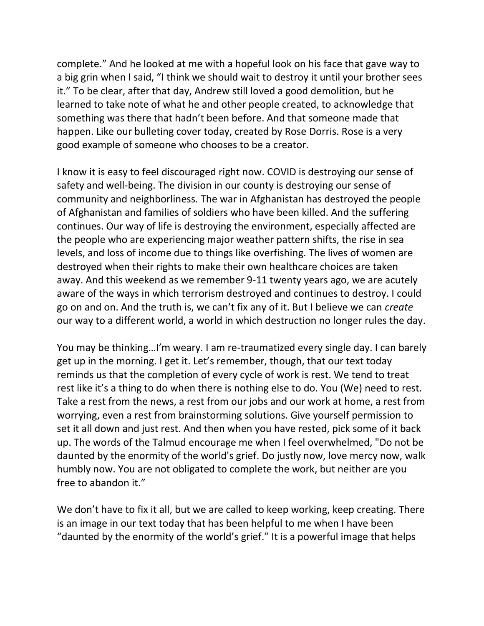complete." And he looked at me with a hopeful look on his face that gave way to a big grin when I said, "I think we should wait to destroy it until your brother sees it." To be clear, after that day, Andrew still loved a good demolition, but he learned to take note of what he and other people created, to acknowledge that something was there that hadn't been before. And that someone made that happen. Like our bulleting cover today, created by Rose Dorris. Rose is a very good example of someone who chooses to be a creator.

I know it is easy to feel discouraged right now. COVID is destroying our sense of safety and well-being. The division in our county is destroying our sense of community and neighborliness. The war in Afghanistan has destroyed the people of Afghanistan and families of soldiers who have been killed. And the suffering continues. Our way of life is destroying the environment, especially affected are the people who are experiencing major weather pattern shifts, the rise in sea levels, and loss of income due to things like overfishing. The lives of women are destroyed when their rights to make their own healthcare choices are taken away. And this weekend as we remember 9-11 twenty years ago, we are acutely aware of the ways in which terrorism destroyed and continues to destroy. I could go on and on. And the truth is, we can't fix any of it. But I believe we can *create* our way to a different world, a world in which destruction no longer rules the day.

You may be thinking…I'm weary. I am re-traumatized every single day. I can barely get up in the morning. I get it. Let's remember, though, that our text today reminds us that the completion of every cycle of work is rest. We tend to treat rest like it's a thing to do when there is nothing else to do. You (We) need to rest. Take a rest from the news, a rest from our jobs and our work at home, a rest from worrying, even a rest from brainstorming solutions. Give yourself permission to set it all down and just rest. And then when you have rested, pick some of it back up. The words of the Talmud encourage me when I feel overwhelmed, "Do not be daunted by the enormity of the world's grief. Do justly now, love mercy now, walk humbly now. You are not obligated to complete the work, but neither are you free to abandon it."

We don't have to fix it all, but we are called to keep working, keep creating. There is an image in our text today that has been helpful to me when I have been "daunted by the enormity of the world's grief." It is a powerful image that helps